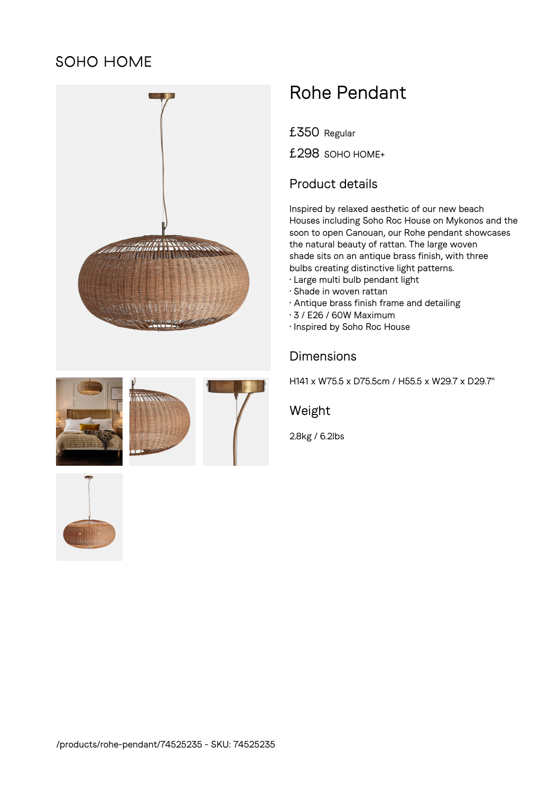## SOHO HOME



# Rohe Pendant

£350 Regular

£298 SOHO HOME+

#### Product details

Inspired by relaxed aesthetic of our new beach Houses including Soho Roc House on Mykonos and the soon to open Canouan, our Rohe pendant showcases the natural beauty of rattan. The large woven shade sits on an antique brass finish, with three bulbs creating distinctive light patterns.

- Large multi bulb pendant light
- Shade in woven rattan
- Antique brass finish frame and detailing
- 3 / E26 / 60W Maximum
- Inspired by Soho Roc House

### Dimensions

H141 x W75.5 x D75.5cm / H55.5 x W29.7 x D29.7"

#### Weight

2.8kg / 6.2lbs